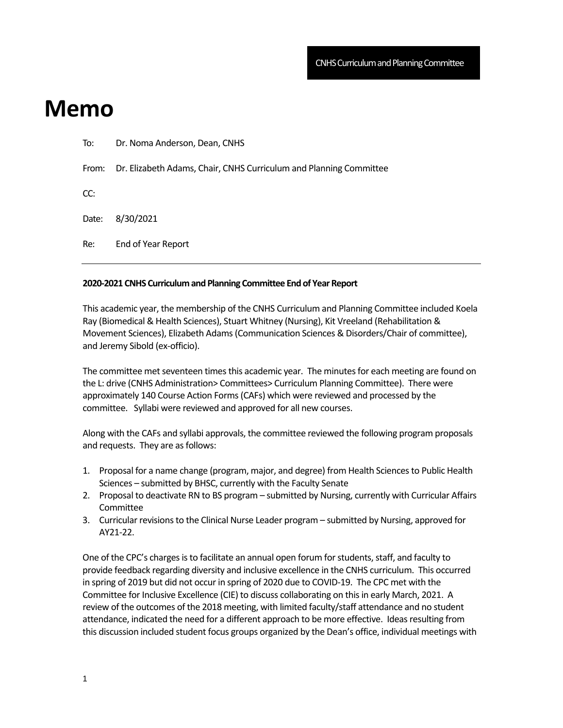## **Memo**

| Re:   | End of Year Report                                                 |
|-------|--------------------------------------------------------------------|
| Date: | 8/30/2021                                                          |
| CC:   |                                                                    |
| From: | Dr. Elizabeth Adams, Chair, CNHS Curriculum and Planning Committee |
| To:   | Dr. Noma Anderson, Dean, CNHS                                      |

## **2020-2021 CNHS Curriculum and Planning Committee End of Year Report**

This academic year, the membership of the CNHS Curriculum and Planning Committee included Koela Ray (Biomedical & Health Sciences), Stuart Whitney (Nursing), Kit Vreeland (Rehabilitation & Movement Sciences), Elizabeth Adams (Communication Sciences & Disorders/Chair of committee), and Jeremy Sibold (ex-officio).

The committee met seventeen times this academic year. The minutes for each meeting are found on the L: drive (CNHS Administration> Committees> Curriculum Planning Committee). There were approximately 140 Course Action Forms (CAFs) which were reviewed and processed by the committee. Syllabi were reviewed and approved for all new courses.

Along with the CAFs and syllabi approvals, the committee reviewed the following program proposals and requests. They are as follows:

- 1. Proposal for a name change (program, major, and degree) from Health Sciences to Public Health Sciences – submitted by BHSC, currently with the Faculty Senate
- 2. Proposal to deactivate RN to BS program submitted by Nursing, currently with Curricular Affairs **Committee**
- 3. Curricular revisions to the Clinical Nurse Leader program submitted by Nursing, approved for AY21-22.

One of the CPC's charges is to facilitate an annual open forum for students, staff, and faculty to provide feedback regarding diversity and inclusive excellence in the CNHS curriculum. This occurred in spring of 2019 but did not occur in spring of 2020 due to COVID-19. The CPC met with the Committee for Inclusive Excellence (CIE) to discuss collaborating on this in early March, 2021. A review of the outcomes of the 2018 meeting, with limited faculty/staff attendance and no student attendance, indicated the need for a different approach to be more effective. Ideas resulting from this discussion included student focus groups organized by the Dean's office, individual meetings with